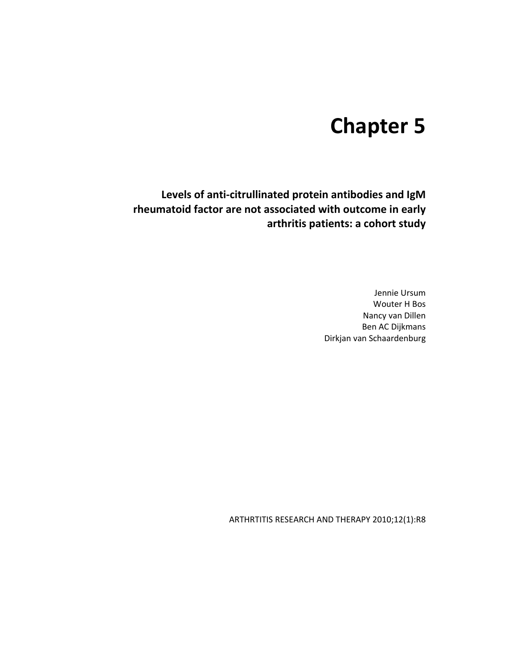# **Chapter 5**

**Levels of anti-citrullinated protein antibodies and IgM rheumatoid factor are not associated with outcome in early arthritis patients: a cohort study** 

> Jennie Ursum Wouter H Bos Nancy van Dillen Ben AC Dijkmans Dirkjan van Schaardenburg

ARTHRTITIS RESEARCH AND THERAPY 2010;12(1):R8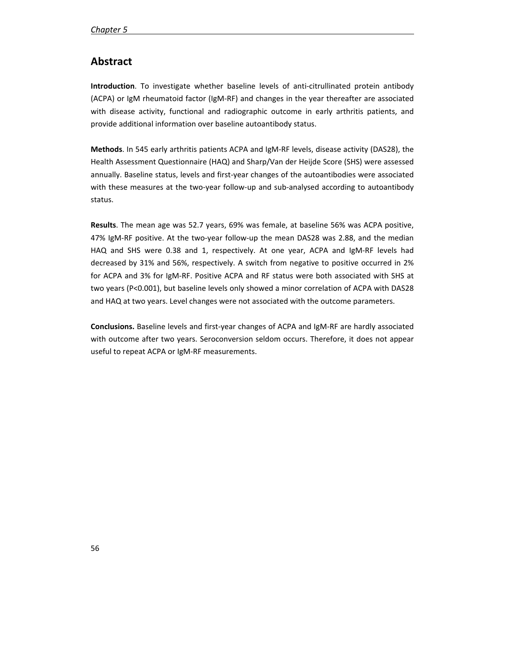# **Abstract**

**Introduction**. To investigate whether baseline levels of anti-citrullinated protein antibody (ACPA) or IgM rheumatoid factor (IgM-RF) and changes in the year thereafter are associated with disease activity, functional and radiographic outcome in early arthritis patients, and provide additional information over baseline autoantibody status.

**Methods**. In 545 early arthritis patients ACPA and IgM-RF levels, disease activity (DAS28), the Health Assessment Questionnaire (HAQ) and Sharp/Van der Heijde Score (SHS) were assessed annually. Baseline status, levels and first-year changes of the autoantibodies were associated with these measures at the two-year follow-up and sub-analysed according to autoantibody status.

**Results**. The mean age was 52.7 years, 69% was female, at baseline 56% was ACPA positive, 47% IgM-RF positive. At the two-year follow-up the mean DAS28 was 2.88, and the median HAQ and SHS were 0.38 and 1, respectively. At one year, ACPA and IgM-RF levels had decreased by 31% and 56%, respectively. A switch from negative to positive occurred in 2% for ACPA and 3% for IgM-RF. Positive ACPA and RF status were both associated with SHS at two years (P<0.001), but baseline levels only showed a minor correlation of ACPA with DAS28 and HAQ at two years. Level changes were not associated with the outcome parameters.

**Conclusions.** Baseline levels and first-year changes of ACPA and IgM-RF are hardly associated with outcome after two years. Seroconversion seldom occurs. Therefore, it does not appear useful to repeat ACPA or IgM-RF measurements.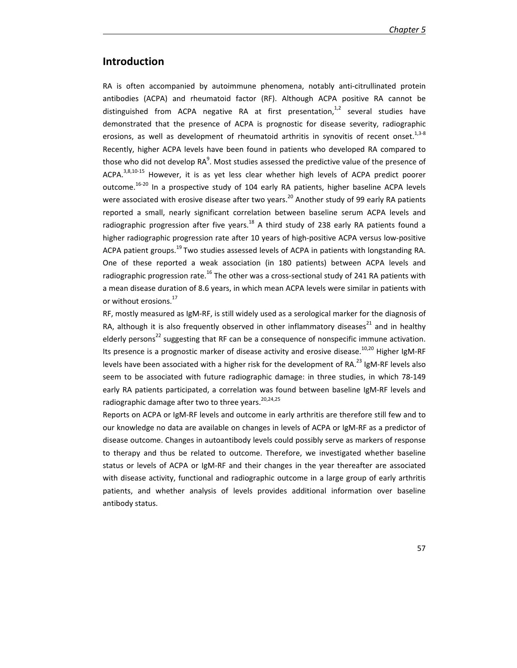# **Introduction**

RA is often accompanied by autoimmune phenomena, notably anti-citrullinated protein antibodies (ACPA) and rheumatoid factor (RF). Although ACPA positive RA cannot be distinguished from ACPA negative RA at first presentation, $1/2$  several studies have demonstrated that the presence of ACPA is prognostic for disease severity, radiographic erosions, as well as development of rheumatoid arthritis in synovitis of recent onset.<sup>1,3-8</sup> Recently, higher ACPA levels have been found in patients who developed RA compared to those who did not develop RA $^{9}$ . Most studies assessed the predictive value of the presence of ACPA.<sup>3,8,10-15</sup> However, it is as yet less clear whether high levels of ACPA predict poorer outcome.16-20 In a prospective study of 104 early RA patients, higher baseline ACPA levels were associated with erosive disease after two years.<sup>20</sup> Another study of 99 early RA patients reported a small, nearly significant correlation between baseline serum ACPA levels and radiographic progression after five years.<sup>18</sup> A third study of 238 early RA patients found a higher radiographic progression rate after 10 years of high-positive ACPA versus low-positive ACPA patient groups.<sup>19</sup> Two studies assessed levels of ACPA in patients with longstanding RA. One of these reported a weak association (in 180 patients) between ACPA levels and radiographic progression rate.<sup>16</sup> The other was a cross-sectional study of 241 RA patients with a mean disease duration of 8.6 years, in which mean ACPA levels were similar in patients with or without erosions.<sup>17</sup>

RF, mostly measured as IgM-RF, is still widely used as a serological marker for the diagnosis of RA, although it is also frequently observed in other inflammatory diseases<sup>21</sup> and in healthy elderly persons<sup>22</sup> suggesting that RF can be a consequence of nonspecific immune activation. Its presence is a prognostic marker of disease activity and erosive disease.<sup>10,20</sup> Higher IgM-RF levels have been associated with a higher risk for the development of RA.<sup>23</sup> IgM-RF levels also seem to be associated with future radiographic damage: in three studies, in which 78-149 early RA patients participated, a correlation was found between baseline IgM-RF levels and radiographic damage after two to three years.<sup>20,24,25</sup>

Reports on ACPA or IgM-RF levels and outcome in early arthritis are therefore still few and to our knowledge no data are available on changes in levels of ACPA or IgM-RF as a predictor of disease outcome. Changes in autoantibody levels could possibly serve as markers of response to therapy and thus be related to outcome. Therefore, we investigated whether baseline status or levels of ACPA or IgM-RF and their changes in the year thereafter are associated with disease activity, functional and radiographic outcome in a large group of early arthritis patients, and whether analysis of levels provides additional information over baseline antibody status.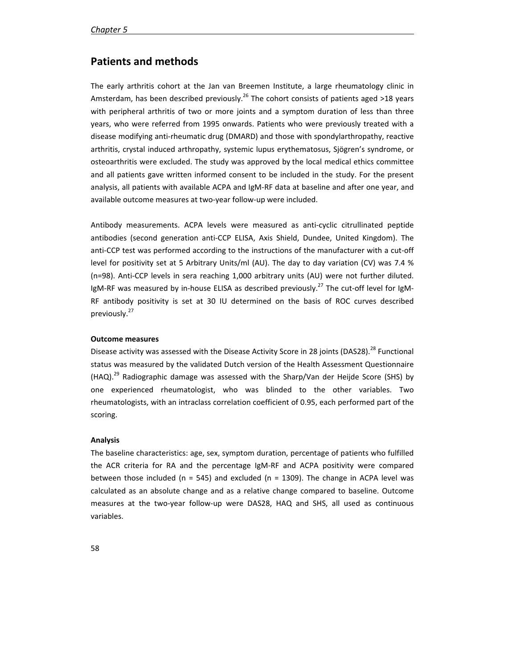# **Patients and methods**

The early arthritis cohort at the Jan van Breemen Institute, a large rheumatology clinic in Amsterdam, has been described previously.<sup>26</sup> The cohort consists of patients aged >18 years with peripheral arthritis of two or more joints and a symptom duration of less than three years, who were referred from 1995 onwards. Patients who were previously treated with a disease modifying anti-rheumatic drug (DMARD) and those with spondylarthropathy, reactive arthritis, crystal induced arthropathy, systemic lupus erythematosus, Sjögren's syndrome, or osteoarthritis were excluded. The study was approved by the local medical ethics committee and all patients gave written informed consent to be included in the study. For the present analysis, all patients with available ACPA and IgM-RF data at baseline and after one year, and available outcome measures at two-year follow-up were included.

Antibody measurements. ACPA levels were measured as anti-cyclic citrullinated peptide antibodies (second generation anti-CCP ELISA, Axis Shield, Dundee, United Kingdom). The anti-CCP test was performed according to the instructions of the manufacturer with a cut-off level for positivity set at 5 Arbitrary Units/ml (AU). The day to day variation (CV) was 7.4 % (n=98). Anti-CCP levels in sera reaching 1,000 arbitrary units (AU) were not further diluted. IgM-RF was measured by in-house ELISA as described previously.<sup>27</sup> The cut-off level for IgM-RF antibody positivity is set at 30 IU determined on the basis of ROC curves described previously.<sup>27</sup>

## **Outcome measures**

Disease activity was assessed with the Disease Activity Score in 28 joints (DAS28).<sup>28</sup> Functional status was measured by the validated Dutch version of the Health Assessment Questionnaire  $(HAO)<sup>29</sup>$  Radiographic damage was assessed with the Sharp/Van der Heijde Score (SHS) by one experienced rheumatologist, who was blinded to the other variables. Two rheumatologists, with an intraclass correlation coefficient of 0.95, each performed part of the scoring.

#### **Analysis**

The baseline characteristics: age, sex, symptom duration, percentage of patients who fulfilled the ACR criteria for RA and the percentage IgM-RF and ACPA positivity were compared between those included ( $n = 545$ ) and excluded ( $n = 1309$ ). The change in ACPA level was calculated as an absolute change and as a relative change compared to baseline. Outcome measures at the two-year follow-up were DAS28, HAQ and SHS, all used as continuous variables.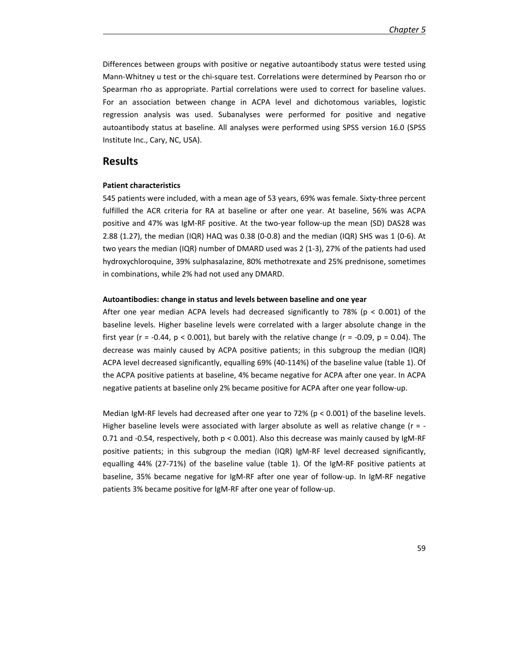Differences between groups with positive or negative autoantibody status were tested using Mann-Whitney u test or the chi-square test. Correlations were determined by Pearson rho or Spearman rho as appropriate. Partial correlations were used to correct for baseline values. For an association between change in ACPA level and dichotomous variables, logistic regression analysis was used. Subanalyses were performed for positive and negative autoantibody status at baseline. All analyses were performed using SPSS version 16.0 (SPSS Institute Inc., Cary, NC, USA).

# **Results**

### **Patient characteristics**

545 patients were included, with a mean age of 53 years, 69% was female. Sixty-three percent fulfilled the ACR criteria for RA at baseline or after one year. At baseline, 56% was ACPA positive and 47% was IgM-RF positive. At the two-year follow-up the mean (SD) DAS28 was 2.88 (1.27), the median (IQR) HAQ was 0.38 (0-0.8) and the median (IQR) SHS was 1 (0-6). At two years the median (IQR) number of DMARD used was 2 (1-3), 27% of the patients had used hydroxychloroquine, 39% sulphasalazine, 80% methotrexate and 25% prednisone, sometimes in combinations, while 2% had not used any DMARD.

#### **Autoantibodies: change in status and levels between baseline and one year**

After one year median ACPA levels had decreased significantly to 78% ( $p < 0.001$ ) of the baseline levels. Higher baseline levels were correlated with a larger absolute change in the first year ( $r = -0.44$ ,  $p < 0.001$ ), but barely with the relative change ( $r = -0.09$ ,  $p = 0.04$ ). The decrease was mainly caused by ACPA positive patients; in this subgroup the median (IQR) ACPA level decreased significantly, equalling 69% (40-114%) of the baseline value (table 1). Of the ACPA positive patients at baseline, 4% became negative for ACPA after one year. In ACPA negative patients at baseline only 2% became positive for ACPA after one year follow-up.

Median IgM-RF levels had decreased after one year to 72% ( $p < 0.001$ ) of the baseline levels. Higher baseline levels were associated with larger absolute as well as relative change ( $r = -$ 0.71 and -0.54, respectively, both p < 0.001). Also this decrease was mainly caused by IgM-RF positive patients; in this subgroup the median (IQR) IgM-RF level decreased significantly, equalling 44% (27-71%) of the baseline value (table 1). Of the IgM-RF positive patients at baseline, 35% became negative for IgM-RF after one year of follow-up. In IgM-RF negative patients 3% became positive for IgM-RF after one year of follow-up.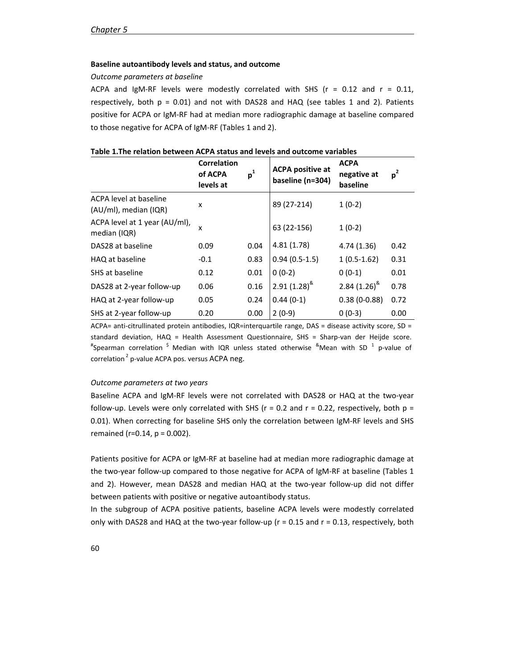## **Baseline autoantibody levels and status, and outcome**

*Outcome parameters at baseline* 

ACPA and IgM-RF levels were modestly correlated with SHS ( $r = 0.12$  and  $r = 0.11$ , respectively, both  $p = 0.01$ ) and not with DAS28 and HAQ (see tables 1 and 2). Patients positive for ACPA or IgM-RF had at median more radiographic damage at baseline compared to those negative for ACPA of IgM-RF (Tables 1 and 2).

|                                                 | <b>Correlation</b><br>of ACPA<br>levels at | $p^1$ | <b>ACPA positive at</b><br>baseline (n=304) | <b>ACPA</b><br>negative at<br>baseline | p <sup>2</sup> |
|-------------------------------------------------|--------------------------------------------|-------|---------------------------------------------|----------------------------------------|----------------|
| ACPA level at baseline<br>(AU/ml), median (IQR) | x                                          |       | 89 (27-214)                                 | $1(0-2)$                               |                |
| ACPA level at 1 year (AU/ml),<br>median (IQR)   | x                                          |       | 63 (22-156)                                 | $1(0-2)$                               |                |
| DAS28 at baseline                               | 0.09                                       | 0.04  | 4.81(1.78)                                  | 4.74 (1.36)                            | 0.42           |
| HAQ at baseline                                 | $-0.1$                                     | 0.83  | $0.94(0.5-1.5)$                             | $1(0.5-1.62)$                          | 0.31           |
| SHS at baseline                                 | 0.12                                       | 0.01  | $0(0-2)$                                    | $0(0-1)$                               | 0.01           |
| DAS28 at 2-year follow-up                       | 0.06                                       | 0.16  | $2.91(1.28)^{8}$                            | 2.84 $(1.26)^{8}$                      | 0.78           |
| HAQ at 2-year follow-up                         | 0.05                                       | 0.24  | $0.44(0-1)$                                 | $0.38(0-0.88)$                         | 0.72           |
| SHS at 2-year follow-up                         | 0.20                                       | 0.00  | $2(0-9)$                                    | $0(0-3)$                               | 0.00           |

**Table 1.The relation between ACPA status and levels and outcome variables**

ACPA= anti-citrullinated protein antibodies, IQR=interquartile range, DAS = disease activity score, SD = standard deviation, HAQ = Health Assessment Questionnaire, SHS = Sharp-van der Heijde score.  $*$ Spearman correlation <sup>\$</sup> Median with IQR unless stated otherwise  $*$ Mean with SD <sup>1</sup> p-value of correlation<sup>2</sup> p-value ACPA pos. versus ACPA neg.

#### *Outcome parameters at two years*

Baseline ACPA and IgM-RF levels were not correlated with DAS28 or HAQ at the two-year follow-up. Levels were only correlated with SHS ( $r = 0.2$  and  $r = 0.22$ , respectively, both  $p =$ 0.01). When correcting for baseline SHS only the correlation between IgM-RF levels and SHS remained ( $r=0.14$ ,  $p = 0.002$ ).

Patients positive for ACPA or IgM-RF at baseline had at median more radiographic damage at the two-year follow-up compared to those negative for ACPA of IgM-RF at baseline (Tables 1 and 2). However, mean DAS28 and median HAQ at the two-year follow-up did not differ between patients with positive or negative autoantibody status.

In the subgroup of ACPA positive patients, baseline ACPA levels were modestly correlated only with DAS28 and HAQ at the two-year follow-up ( $r = 0.15$  and  $r = 0.13$ , respectively, both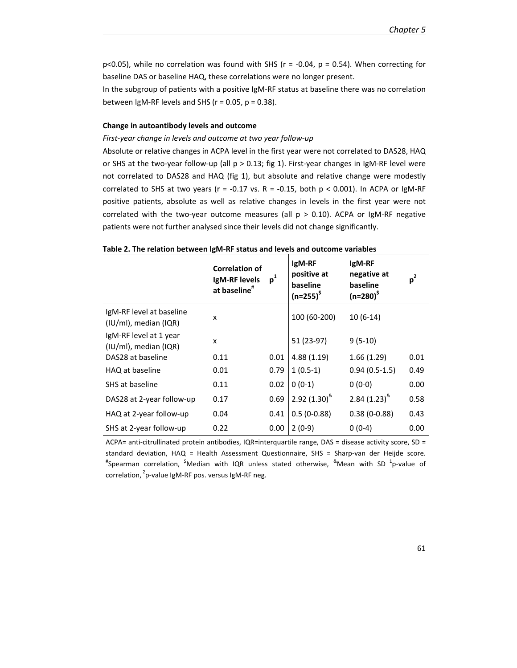p<0.05), while no correlation was found with SHS ( $r = -0.04$ ,  $p = 0.54$ ). When correcting for baseline DAS or baseline HAQ, these correlations were no longer present.

In the subgroup of patients with a positive IgM-RF status at baseline there was no correlation between IgM-RF levels and SHS ( $r = 0.05$ ,  $p = 0.38$ ).

## **Change in autoantibody levels and outcome**

*First-year change in levels and outcome at two year follow-up* 

Absolute or relative changes in ACPA level in the first year were not correlated to DAS28, HAQ or SHS at the two-year follow-up (all p > 0.13; fig 1). First-year changes in IgM-RF level were not correlated to DAS28 and HAQ (fig 1), but absolute and relative change were modestly correlated to SHS at two years (r = -0.17 vs. R = -0.15, both  $p < 0.001$ ). In ACPA or IgM-RF positive patients, absolute as well as relative changes in levels in the first year were not correlated with the two-year outcome measures (all  $p > 0.10$ ). ACPA or IgM-RF negative patients were not further analysed since their levels did not change significantly.

|                                                        | <b>Correlation of</b><br>IgM-RF levels<br>at baseline <sup>#</sup> | p <sup>1</sup> | IgM-RF<br>positive at<br>baseline<br>$(n=255)^{5}$ | IgM-RF<br>negative at<br>baseline<br>$(n=280)^{5}$ | $p^2$ |
|--------------------------------------------------------|--------------------------------------------------------------------|----------------|----------------------------------------------------|----------------------------------------------------|-------|
| IgM-RF level at baseline<br>$(IU/ml)$ , median $(IQR)$ | x                                                                  |                | 100 (60-200)                                       | $10(6-14)$                                         |       |
| IgM-RF level at 1 year<br>(IU/ml), median (IQR)        | x                                                                  |                | 51 (23-97)                                         | $9(5-10)$                                          |       |
| DAS28 at baseline                                      | 0.11                                                               | 0.01           | 4.88(1.19)                                         | 1.66(1.29)                                         | 0.01  |
| HAQ at baseline                                        | 0.01                                                               | 0.79           | $1(0.5-1)$                                         | $0.94(0.5-1.5)$                                    | 0.49  |
| SHS at baseline                                        | 0.11                                                               | 0.02           | $0(0-1)$                                           | $0(0-0)$                                           | 0.00  |
| DAS28 at 2-year follow-up                              | 0.17                                                               | 0.69           | 2.92 $(1.30)^{8}$                                  | 2.84 $(1.23)^{8}$                                  | 0.58  |
| HAQ at 2-year follow-up                                | 0.04                                                               | 0.41           | $0.5(0-0.88)$                                      | $0.38(0-0.88)$                                     | 0.43  |
| SHS at 2-year follow-up                                | 0.22                                                               | 0.00           | $2(0-9)$                                           | $0(0-4)$                                           | 0.00  |

**Table 2. The relation between IgM-RF status and levels and outcome variables** 

ACPA= anti-citrullinated protein antibodies, IQR=interquartile range, DAS = disease activity score, SD = standard deviation, HAQ = Health Assessment Questionnaire, SHS = Sharp-van der Heijde score. #Spearman correlation, <sup>\$</sup>Median with IQR unless stated otherwise, <sup>&</sup>Mean with SD <sup>1</sup>p-value of correlation,  $2$ p-value IgM-RF pos. versus IgM-RF neg.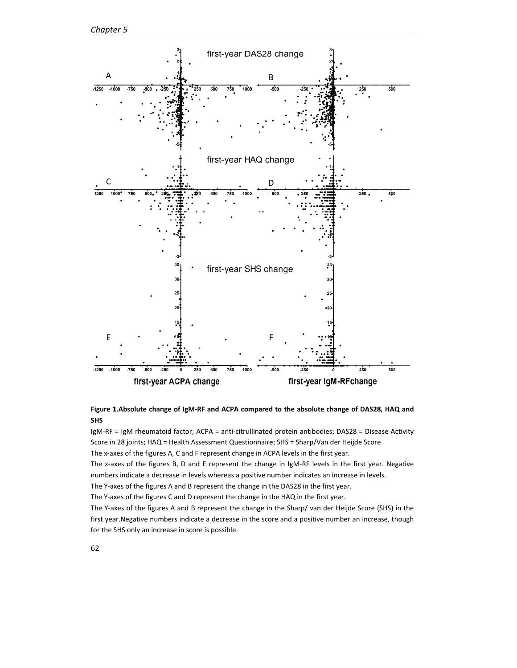

## Figure 1. Absolute change of IgM-RF and ACPA compared to the absolute change of DAS28, **SHS**

IgM IgM--RF = IgM rheumatoid factor; ACPA = anti Score in 28 joints; HAQ = Health Assessment Questionnaire; SHS = The x x-axes of the figures A, C and F represent change in ACPA levels in the first year. RF = IgM rheumatoid factor; ACPA = anti-citrullinated protein antibodies; DAS28 = Disease Activity<br>e in 28 joints; HAQ = Health Assessment Questionnaire; SHS = Sharp/Van der Heijde Score<br>x-axes of the figures A, C and F re **IF 2 Absolute change**<br> **S**<br> **E-RF** = IgM rheumatoid<br>
re in 28 joints; HAQ = H<br>
x-axes of the figures A,<br>
x-axes of the figures A<br>
Nextern and algeriancy<br>
Y-axes of the figures A<br>
Y-axes of the figures A<br>
Y-axes of the fig = IgM rheumatoid factor; ACPA = anti-citrullinated protein antibodies; DAS28 = Dise<br>1 28 joints; HAQ = Health Assessment Questionnaire; SHS = Sharp/Van der Heijde Scor<br>1 28 joints; HAQ = Health Assessment Questionnaire; S Absolute change of IgM-RF and ACPA compared to the absolute change of DAS28, HAQ and<br>
IgM rheumatoid factor; ACPA = anti-citrullinated protein antibodies; DAS28 = Disease Activity<br>
28 joints; HAQ = Health Assessment Questi **1. Absolute change of IgM-RF and ACPA compared to the absolute change of DAS28, HAQ and**<br>
= IgM rheumatoid factor; ACPA = anti-citrullinated protein antibodies; DAS28 = Disease Activity<br>
128 joints; HAQ = Health Assessmen **1.Absolute change of IgM-RF and ACPA compared to the absolute change of DAS28,**<br>F = IgM rheumatoid factor; ACPA = anti-citrullinated protein antibodies; DAS28 = Diseas<br>in 28 joints; HAQ = Health Assessment Questionnaire; change of IgM-RF and ACPA compared to the absolute change of DAS28<br>umatoid factor; ACPA = anti-citrullinated protein antibodies; DAS28 = Disea<br>HAQ = Health Assessment Questionnaire; SHS = Sharp/Van der Heijde Score<br>figures **Absolute change of IgM-RF and ACPA compared to the absolute change of DAS28, HAQ** a<br>
= IgM rheumatoid factor; ACPA = anti-citrullinated protein antibodies; DAS28 = Disease Acti<br>
28 joints; HAQ = Health Assessment Question **1.Absolute change of IgM-RF and ACPA compared to the absolute change of DAS28, HAQ**<br>  $F = \text{IgM}$  rheumatoid factor; ACPA = anti-citrullinated protein antibodies; DAS28 = Disease Act<br>  $\text{A28}$  joints; HAQ = Health Assess

The x x-axes of the figures B, D and E represent the change in IgM numbers indicate a decrease in levels whereas a positive number indicates an increase in levels. numbers indicate a decrease in levels whereas a positive number indicates an increase in<br>The Y-axes of the figures A and B represent the change in the DAS28 in the first year. The x-axes of the figures B, D and E represent the change in IgM-RF levels in the first year. Negative numbers indicate a decrease in levels whereas a positive number indicates an increase in levels.<br>The Y-axes of the figu

The Y-axes of the figures A and B represent the change in the DAS28 in the first yea<br>The Y-axes of the figures C and D represent the change in the HAQ in the first year.

first year. Negative numbers indicate a decrease in the score and a positive number an increase, though for the SHS only an increase in score is possible.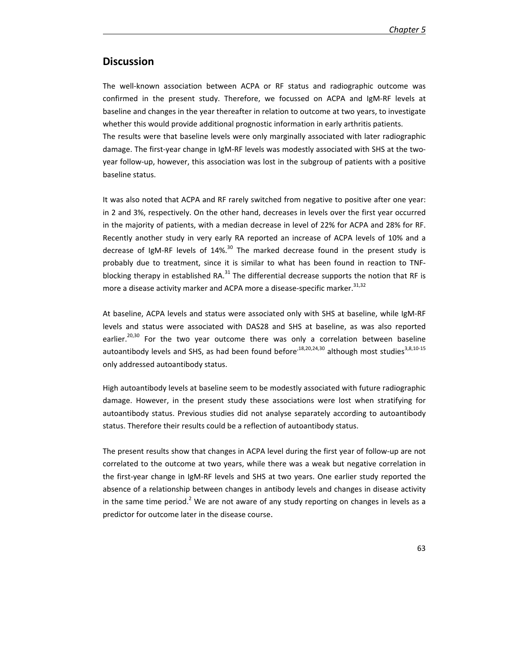# **Discussion**

The well-known association between ACPA or RF status and radiographic outcome was confirmed in the present study. Therefore, we focussed on ACPA and IgM-RF levels at baseline and changes in the year thereafter in relation to outcome at two years, to investigate whether this would provide additional prognostic information in early arthritis patients. The results were that baseline levels were only marginally associated with later radiographic damage. The first-year change in IgM-RF levels was modestly associated with SHS at the twoyear follow-up, however, this association was lost in the subgroup of patients with a positive baseline status.

It was also noted that ACPA and RF rarely switched from negative to positive after one year: in 2 and 3%, respectively. On the other hand, decreases in levels over the first year occurred in the majority of patients, with a median decrease in level of 22% for ACPA and 28% for RF. Recently another study in very early RA reported an increase of ACPA levels of 10% and a decrease of IgM-RF levels of  $14\%$ <sup>30</sup> The marked decrease found in the present study is probably due to treatment, since it is similar to what has been found in reaction to TNFblocking therapy in established RA. $31$  The differential decrease supports the notion that RF is more a disease activity marker and ACPA more a disease-specific marker.<sup>31,32</sup>

At baseline, ACPA levels and status were associated only with SHS at baseline, while IgM-RF levels and status were associated with DAS28 and SHS at baseline, as was also reported earlier.<sup>20,30</sup> For the two year outcome there was only a correlation between baseline autoantibody levels and SHS, as had been found before<sup>,18,20,24,30</sup> although most studies<sup>3,8,10-15</sup> only addressed autoantibody status.

High autoantibody levels at baseline seem to be modestly associated with future radiographic damage. However, in the present study these associations were lost when stratifying for autoantibody status. Previous studies did not analyse separately according to autoantibody status. Therefore their results could be a reflection of autoantibody status.

The present results show that changes in ACPA level during the first year of follow-up are not correlated to the outcome at two years, while there was a weak but negative correlation in the first-year change in IgM-RF levels and SHS at two years. One earlier study reported the absence of a relationship between changes in antibody levels and changes in disease activity in the same time period.<sup>2</sup> We are not aware of any study reporting on changes in levels as a predictor for outcome later in the disease course.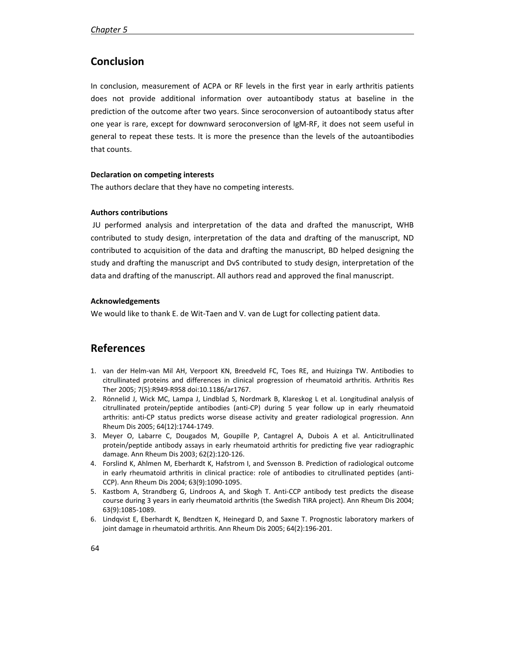# **Conclusion**

In conclusion, measurement of ACPA or RF levels in the first year in early arthritis patients does not provide additional information over autoantibody status at baseline in the prediction of the outcome after two years. Since seroconversion of autoantibody status after one year is rare, except for downward seroconversion of IgM-RF, it does not seem useful in general to repeat these tests. It is more the presence than the levels of the autoantibodies that counts.

## **Declaration on competing interests**

The authors declare that they have no competing interests.

## **Authors contributions**

 JU performed analysis and interpretation of the data and drafted the manuscript, WHB contributed to study design, interpretation of the data and drafting of the manuscript, ND contributed to acquisition of the data and drafting the manuscript, BD helped designing the study and drafting the manuscript and DvS contributed to study design, interpretation of the data and drafting of the manuscript. All authors read and approved the final manuscript.

## **Acknowledgements**

We would like to thank E. de Wit-Taen and V. van de Lugt for collecting patient data.

# **References**

- 1. van der Helm-van Mil AH, Verpoort KN, Breedveld FC, Toes RE, and Huizinga TW. Antibodies to citrullinated proteins and differences in clinical progression of rheumatoid arthritis. Arthritis Res Ther 2005; 7(5):R949-R958 doi:10.1186/ar1767.
- 2. Rönnelid J, Wick MC, Lampa J, Lindblad S, Nordmark B, Klareskog L et al. Longitudinal analysis of citrullinated protein/peptide antibodies (anti-CP) during 5 year follow up in early rheumatoid arthritis: anti-CP status predicts worse disease activity and greater radiological progression. Ann Rheum Dis 2005; 64(12):1744-1749.
- 3. Meyer O, Labarre C, Dougados M, Goupille P, Cantagrel A, Dubois A et al. Anticitrullinated protein/peptide antibody assays in early rheumatoid arthritis for predicting five year radiographic damage. Ann Rheum Dis 2003; 62(2):120-126.
- 4. Forslind K, Ahlmen M, Eberhardt K, Hafstrom I, and Svensson B. Prediction of radiological outcome in early rheumatoid arthritis in clinical practice: role of antibodies to citrullinated peptides (anti-CCP). Ann Rheum Dis 2004; 63(9):1090-1095.
- 5. Kastbom A, Strandberg G, Lindroos A, and Skogh T. Anti-CCP antibody test predicts the disease course during 3 years in early rheumatoid arthritis (the Swedish TIRA project). Ann Rheum Dis 2004; 63(9):1085-1089.
- 6. Lindqvist E, Eberhardt K, Bendtzen K, Heinegard D, and Saxne T. Prognostic laboratory markers of joint damage in rheumatoid arthritis. Ann Rheum Dis 2005; 64(2):196-201.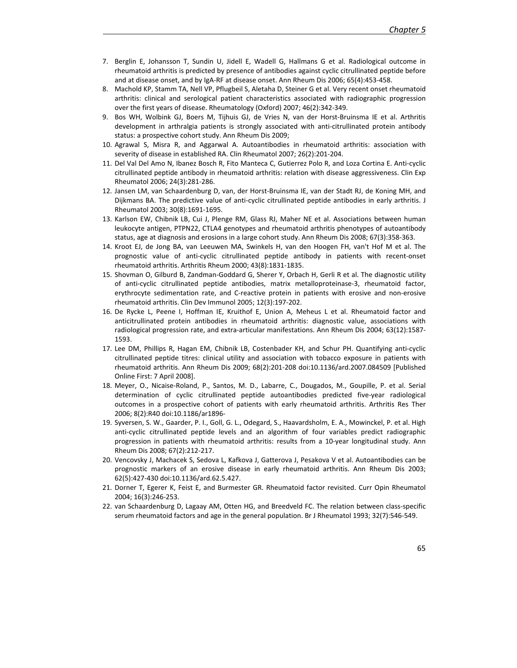- 7. Berglin E, Johansson T, Sundin U, Jidell E, Wadell G, Hallmans G et al. Radiological outcome in rheumatoid arthritis is predicted by presence of antibodies against cyclic citrullinated peptide before and at disease onset, and by IgA-RF at disease onset. Ann Rheum Dis 2006; 65(4):453-458.
- 8. Machold KP, Stamm TA, Nell VP, Pflugbeil S, Aletaha D, Steiner G et al. Very recent onset rheumatoid arthritis: clinical and serological patient characteristics associated with radiographic progression over the first years of disease. Rheumatology (Oxford) 2007; 46(2):342-349.
- 9. Bos WH, Wolbink GJ, Boers M, Tijhuis GJ, de Vries N, van der Horst-Bruinsma IE et al. Arthritis development in arthralgia patients is strongly associated with anti-citrullinated protein antibody status: a prospective cohort study. Ann Rheum Dis 2009;
- 10. Agrawal S, Misra R, and Aggarwal A. Autoantibodies in rheumatoid arthritis: association with severity of disease in established RA. Clin Rheumatol 2007; 26(2):201-204.
- 11. Del Val Del Amo N, Ibanez Bosch R, Fito Manteca C, Gutierrez Polo R, and Loza Cortina E. Anti-cyclic citrullinated peptide antibody in rheumatoid arthritis: relation with disease aggressiveness. Clin Exp Rheumatol 2006; 24(3):281-286.
- 12. Jansen LM, van Schaardenburg D, van, der Horst-Bruinsma IE, van der Stadt RJ, de Koning MH, and Dijkmans BA. The predictive value of anti-cyclic citrullinated peptide antibodies in early arthritis. J Rheumatol 2003; 30(8):1691-1695.
- 13. Karlson EW, Chibnik LB, Cui J, Plenge RM, Glass RJ, Maher NE et al. Associations between human leukocyte antigen, PTPN22, CTLA4 genotypes and rheumatoid arthritis phenotypes of autoantibody status, age at diagnosis and erosions in a large cohort study. Ann Rheum Dis 2008; 67(3):358-363.
- 14. Kroot EJ, de Jong BA, van Leeuwen MA, Swinkels H, van den Hoogen FH, van't Hof M et al. The prognostic value of anti-cyclic citrullinated peptide antibody in patients with recent-onset rheumatoid arthritis. Arthritis Rheum 2000; 43(8):1831-1835.
- 15. Shovman O, Gilburd B, Zandman-Goddard G, Sherer Y, Orbach H, Gerli R et al. The diagnostic utility of anti-cyclic citrullinated peptide antibodies, matrix metalloproteinase-3, rheumatoid factor, erythrocyte sedimentation rate, and C-reactive protein in patients with erosive and non-erosive rheumatoid arthritis. Clin Dev Immunol 2005; 12(3):197-202.
- 16. De Rycke L, Peene I, Hoffman IE, Kruithof E, Union A, Meheus L et al. Rheumatoid factor and anticitrullinated protein antibodies in rheumatoid arthritis: diagnostic value, associations with radiological progression rate, and extra-articular manifestations. Ann Rheum Dis 2004; 63(12):1587- 1593.
- 17. Lee DM, Phillips R, Hagan EM, Chibnik LB, Costenbader KH, and Schur PH. Quantifying anti-cyclic citrullinated peptide titres: clinical utility and association with tobacco exposure in patients with rheumatoid arthritis. Ann Rheum Dis 2009; 68(2):201-208 doi:10.1136/ard.2007.084509 [Published Online First: 7 April 2008].
- 18. Meyer, O., Nicaise-Roland, P., Santos, M. D., Labarre, C., Dougados, M., Goupille, P. et al. Serial determination of cyclic citrullinated peptide autoantibodies predicted five-year radiological outcomes in a prospective cohort of patients with early rheumatoid arthritis. Arthritis Res Ther 2006; 8(2):R40 doi:10.1186/ar1896-
- 19. Syversen, S. W., Gaarder, P. I., Goll, G. L., Odegard, S., Haavardsholm, E. A., Mowinckel, P. et al. High anti-cyclic citrullinated peptide levels and an algorithm of four variables predict radiographic progression in patients with rheumatoid arthritis: results from a 10-year longitudinal study. Ann Rheum Dis 2008; 67(2):212-217.
- 20. Vencovsky J, Machacek S, Sedova L, Kafkova J, Gatterova J, Pesakova V et al. Autoantibodies can be prognostic markers of an erosive disease in early rheumatoid arthritis. Ann Rheum Dis 2003; 62(5):427-430 doi:10.1136/ard.62.5.427.
- 21. Dorner T, Egerer K, Feist E, and Burmester GR. Rheumatoid factor revisited. Curr Opin Rheumatol 2004; 16(3):246-253.
- 22. van Schaardenburg D, Lagaay AM, Otten HG, and Breedveld FC. The relation between class-specific serum rheumatoid factors and age in the general population. Br J Rheumatol 1993; 32(7):546-549.